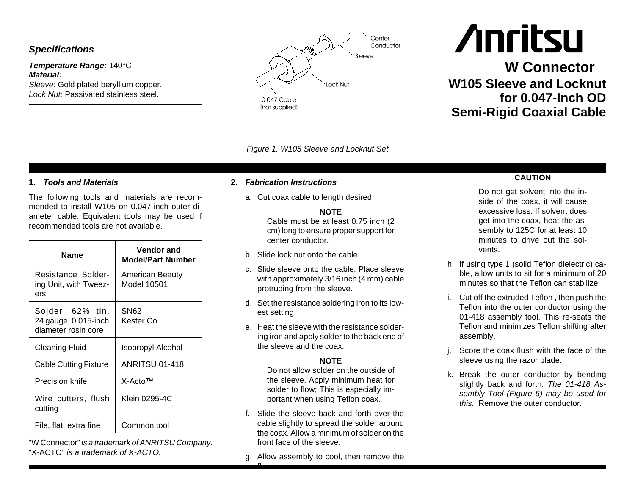# *Specifications*

## *Temperature Range:* 140°C *Material:*

*Sleeve:* Gold plated beryllium copper. *Lock Nut:* Passivated stainless steel.



*Figure 1. W105 Sleeve and Locknut Set*

## **1.** *Tools and Materials*

The following tools and materials are recommended to install W105 on 0.047-inch outer diameter cable. Equivalent tools may be used if recommended tools are not available.

| <b>Name</b>                                                     | Vendor and<br><b>Model/Part Number</b> |
|-----------------------------------------------------------------|----------------------------------------|
| Resistance Solder-<br>ing Unit, with Tweez-<br>ers              | American Beauty<br>Model 10501         |
| Solder, 62% tin,<br>24 gauge, 0.015-inch<br>diameter rosin core | <b>SN62</b><br>Kester Co.              |
|                                                                 |                                        |
| Cleaning Fluid                                                  | Isopropyl Alcohol                      |
| Cable Cutting Fixture                                           | ANRITSU 01-418                         |
| Precision knife                                                 | $X-ActoTM$                             |
| Wire cutters, flush<br>cutting                                  | Klein 0295-4C                          |

"W Connector" *is <sup>a</sup> trademark of ANRITSU Company.* "X-ACTO" *is a trademark of X-ACTO.*

### **2.** *Fabrication Instructions*

a. Cut coax cable to length desired.

#### **NOTE**

Cable must be at least 0.75 inch (2 cm) long to ensure proper support for center conductor.

- b. Slide lock nut onto the cable.
- c. Slide sleeve onto the cable. Place sleevewith approximately 3/16 inch (4 mm) cable protruding from the sleeve.
- d. Set the resistance soldering iron to its lowest setting.
- e. Heat the sleeve with the resistance soldering iron and apply solder to the back end of the sleeve and the coax.

### **NOTE**

 Do not allow solder on the outside ofthe sleeve. Apply minimum heat for solder to flow; This is especially important when using Teflon coax.

- f. Slide the sleeve back and forth over thecable slightly to spread the solder around the coax. Allow a minimum of solder on thefront face of the sleeve.
- g. Allow assembly to cool, then remove the

 $\mathbf{f}$ 

## **CAUTION**

**W Connector**

**for 0.047-Inch OD**

**W105 Sleeve and Locknut**

**Anritsu** 

**Semi-Rigid Coaxial Cable**

Do not get solvent into the inside of the coax, it will cause excessive loss. If solvent doesget into the coax, heat the assembly to 125C for at least 10 minutes to drive out the solvents.

- h. If using type 1 (solid Teflon dielectric) cable, allow units to sit for <sup>a</sup> minimum of 20 minutes so that the Teflon can stabilize.
- i. Cut off the extruded Teflon , then push the Teflon into the outer conductor using the 01-418 assembly tool. This re-seats the Teflon and minimizes Teflon shifting after assembly.
- j. Score the coax flush with the face of the sleeve using the razor blade.
- k. Break the outer conductor by bending slightly back and forth. The 01-418 As*sembly Tool (Figure 5) may be used for this.* Remove the outer conductor.